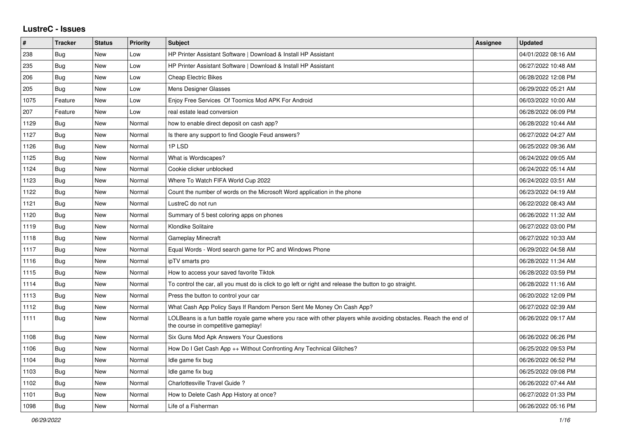## **LustreC - Issues**

| $\vert$ # | <b>Tracker</b> | <b>Status</b> | <b>Priority</b> | <b>Subject</b>                                                                                                                                           | <b>Assignee</b> | <b>Updated</b>      |
|-----------|----------------|---------------|-----------------|----------------------------------------------------------------------------------------------------------------------------------------------------------|-----------------|---------------------|
| 238       | Bug            | New           | Low             | HP Printer Assistant Software   Download & Install HP Assistant                                                                                          |                 | 04/01/2022 08:16 AM |
| 235       | Bug            | New           | Low             | HP Printer Assistant Software   Download & Install HP Assistant                                                                                          |                 | 06/27/2022 10:48 AM |
| 206       | Bug            | New           | Low             | <b>Cheap Electric Bikes</b>                                                                                                                              |                 | 06/28/2022 12:08 PM |
| 205       | Bug            | <b>New</b>    | Low             | <b>Mens Designer Glasses</b>                                                                                                                             |                 | 06/29/2022 05:21 AM |
| 1075      | Feature        | <b>New</b>    | Low             | Enjoy Free Services Of Toomics Mod APK For Android                                                                                                       |                 | 06/03/2022 10:00 AM |
| 207       | Feature        | New           | Low             | real estate lead conversion                                                                                                                              |                 | 06/28/2022 06:09 PM |
| 1129      | Bug            | New           | Normal          | how to enable direct deposit on cash app?                                                                                                                |                 | 06/28/2022 10:44 AM |
| 1127      | Bug            | <b>New</b>    | Normal          | Is there any support to find Google Feud answers?                                                                                                        |                 | 06/27/2022 04:27 AM |
| 1126      | Bug            | <b>New</b>    | Normal          | 1PLSD                                                                                                                                                    |                 | 06/25/2022 09:36 AM |
| 1125      | Bug            | New           | Normal          | What is Wordscapes?                                                                                                                                      |                 | 06/24/2022 09:05 AM |
| 1124      | <b>Bug</b>     | New           | Normal          | Cookie clicker unblocked                                                                                                                                 |                 | 06/24/2022 05:14 AM |
| 1123      | Bug            | New           | Normal          | Where To Watch FIFA World Cup 2022                                                                                                                       |                 | 06/24/2022 03:51 AM |
| 1122      | Bug            | <b>New</b>    | Normal          | Count the number of words on the Microsoft Word application in the phone                                                                                 |                 | 06/23/2022 04:19 AM |
| 1121      | Bug            | <b>New</b>    | Normal          | LustreC do not run                                                                                                                                       |                 | 06/22/2022 08:43 AM |
| 1120      | Bug            | <b>New</b>    | Normal          | Summary of 5 best coloring apps on phones                                                                                                                |                 | 06/26/2022 11:32 AM |
| 1119      | Bug            | <b>New</b>    | Normal          | Klondike Solitaire                                                                                                                                       |                 | 06/27/2022 03:00 PM |
| 1118      | Bug            | New           | Normal          | Gameplay Minecraft                                                                                                                                       |                 | 06/27/2022 10:33 AM |
| 1117      | Bug            | New           | Normal          | Equal Words - Word search game for PC and Windows Phone                                                                                                  |                 | 06/29/2022 04:58 AM |
| 1116      | Bug            | <b>New</b>    | Normal          | ipTV smarts pro                                                                                                                                          |                 | 06/28/2022 11:34 AM |
| 1115      | Bug            | New           | Normal          | How to access your saved favorite Tiktok                                                                                                                 |                 | 06/28/2022 03:59 PM |
| 1114      | Bug            | New           | Normal          | To control the car, all you must do is click to go left or right and release the button to go straight.                                                  |                 | 06/28/2022 11:16 AM |
| 1113      | Bug            | New           | Normal          | Press the button to control your car                                                                                                                     |                 | 06/20/2022 12:09 PM |
| 1112      | Bug            | New           | Normal          | What Cash App Policy Says If Random Person Sent Me Money On Cash App?                                                                                    |                 | 06/27/2022 02:39 AM |
| 1111      | Bug            | New           | Normal          | LOLBeans is a fun battle royale game where you race with other players while avoiding obstacles. Reach the end of<br>the course in competitive gameplay! |                 | 06/26/2022 09:17 AM |
| 1108      | Bug            | <b>New</b>    | Normal          | Six Guns Mod Apk Answers Your Questions                                                                                                                  |                 | 06/26/2022 06:26 PM |
| 1106      | Bug            | <b>New</b>    | Normal          | How Do I Get Cash App ++ Without Confronting Any Technical Glitches?                                                                                     |                 | 06/25/2022 09:53 PM |
| 1104      | Bug            | <b>New</b>    | Normal          | Idle game fix bug                                                                                                                                        |                 | 06/26/2022 06:52 PM |
| 1103      | Bug            | <b>New</b>    | Normal          | Idle game fix bug                                                                                                                                        |                 | 06/25/2022 09:08 PM |
| 1102      | Bug            | New           | Normal          | Charlottesville Travel Guide?                                                                                                                            |                 | 06/26/2022 07:44 AM |
| 1101      | Bug            | New           | Normal          | How to Delete Cash App History at once?                                                                                                                  |                 | 06/27/2022 01:33 PM |
| 1098      | Bug            | New           | Normal          | Life of a Fisherman                                                                                                                                      |                 | 06/26/2022 05:16 PM |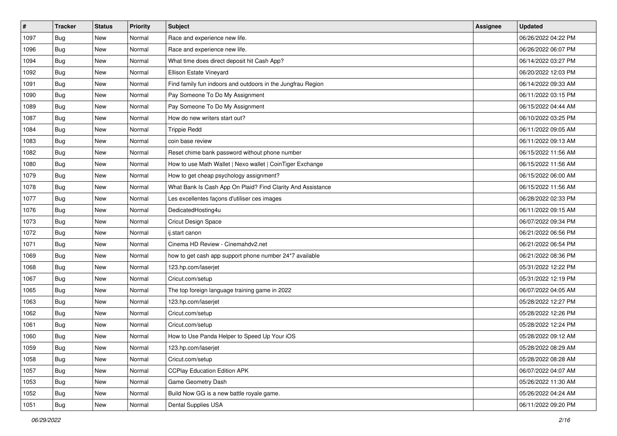| $\sharp$ | <b>Tracker</b> | <b>Status</b> | <b>Priority</b> | <b>Subject</b>                                              | <b>Assignee</b> | <b>Updated</b>      |
|----------|----------------|---------------|-----------------|-------------------------------------------------------------|-----------------|---------------------|
| 1097     | <b>Bug</b>     | New           | Normal          | Race and experience new life.                               |                 | 06/26/2022 04:22 PM |
| 1096     | Bug            | <b>New</b>    | Normal          | Race and experience new life.                               |                 | 06/26/2022 06:07 PM |
| 1094     | Bug            | New           | Normal          | What time does direct deposit hit Cash App?                 |                 | 06/14/2022 03:27 PM |
| 1092     | <b>Bug</b>     | <b>New</b>    | Normal          | Ellison Estate Vineyard                                     |                 | 06/20/2022 12:03 PM |
| 1091     | Bug            | New           | Normal          | Find family fun indoors and outdoors in the Jungfrau Region |                 | 06/14/2022 09:33 AM |
| 1090     | <b>Bug</b>     | New           | Normal          | Pay Someone To Do My Assignment                             |                 | 06/11/2022 03:15 PM |
| 1089     | Bug            | <b>New</b>    | Normal          | Pay Someone To Do My Assignment                             |                 | 06/15/2022 04:44 AM |
| 1087     | Bug            | New           | Normal          | How do new writers start out?                               |                 | 06/10/2022 03:25 PM |
| 1084     | <b>Bug</b>     | New           | Normal          | <b>Trippie Redd</b>                                         |                 | 06/11/2022 09:05 AM |
| 1083     | Bug            | <b>New</b>    | Normal          | coin base review                                            |                 | 06/11/2022 09:13 AM |
| 1082     | <b>Bug</b>     | New           | Normal          | Reset chime bank password without phone number              |                 | 06/15/2022 11:56 AM |
| 1080     | Bug            | New           | Normal          | How to use Math Wallet   Nexo wallet   CoinTiger Exchange   |                 | 06/15/2022 11:56 AM |
| 1079     | Bug            | <b>New</b>    | Normal          | How to get cheap psychology assignment?                     |                 | 06/15/2022 06:00 AM |
| 1078     | Bug            | New           | Normal          | What Bank Is Cash App On Plaid? Find Clarity And Assistance |                 | 06/15/2022 11:56 AM |
| 1077     | Bug            | <b>New</b>    | Normal          | Les excellentes façons d'utiliser ces images                |                 | 06/28/2022 02:33 PM |
| 1076     | Bug            | New           | Normal          | DedicatedHosting4u                                          |                 | 06/11/2022 09:15 AM |
| 1073     | <b>Bug</b>     | <b>New</b>    | Normal          | <b>Cricut Design Space</b>                                  |                 | 06/07/2022 09:34 PM |
| 1072     | Bug            | <b>New</b>    | Normal          | ij.start canon                                              |                 | 06/21/2022 06:56 PM |
| 1071     | <b>Bug</b>     | New           | Normal          | Cinema HD Review - Cinemahdv2.net                           |                 | 06/21/2022 06:54 PM |
| 1069     | Bug            | <b>New</b>    | Normal          | how to get cash app support phone number 24*7 available     |                 | 06/21/2022 08:36 PM |
| 1068     | <b>Bug</b>     | New           | Normal          | 123.hp.com/laserjet                                         |                 | 05/31/2022 12:22 PM |
| 1067     | <b>Bug</b>     | New           | Normal          | Cricut.com/setup                                            |                 | 05/31/2022 12:19 PM |
| 1065     | Bug            | <b>New</b>    | Normal          | The top foreign language training game in 2022              |                 | 06/07/2022 04:05 AM |
| 1063     | Bug            | New           | Normal          | 123.hp.com/laserjet                                         |                 | 05/28/2022 12:27 PM |
| 1062     | <b>Bug</b>     | New           | Normal          | Cricut.com/setup                                            |                 | 05/28/2022 12:26 PM |
| 1061     | <b>Bug</b>     | New           | Normal          | Cricut.com/setup                                            |                 | 05/28/2022 12:24 PM |
| 1060     | Bug            | New           | Normal          | How to Use Panda Helper to Speed Up Your iOS                |                 | 05/28/2022 09:12 AM |
| 1059     | <b>Bug</b>     | New           | Normal          | 123.hp.com/laserjet                                         |                 | 05/28/2022 08:29 AM |
| 1058     | Bug            | New           | Normal          | Cricut.com/setup                                            |                 | 05/28/2022 08:28 AM |
| 1057     | Bug            | New           | Normal          | <b>CCPlay Education Edition APK</b>                         |                 | 06/07/2022 04:07 AM |
| 1053     | Bug            | New           | Normal          | Game Geometry Dash                                          |                 | 05/26/2022 11:30 AM |
| 1052     | Bug            | New           | Normal          | Build Now GG is a new battle royale game.                   |                 | 05/26/2022 04:24 AM |
| 1051     | <b>Bug</b>     | New           | Normal          | Dental Supplies USA                                         |                 | 06/11/2022 09:20 PM |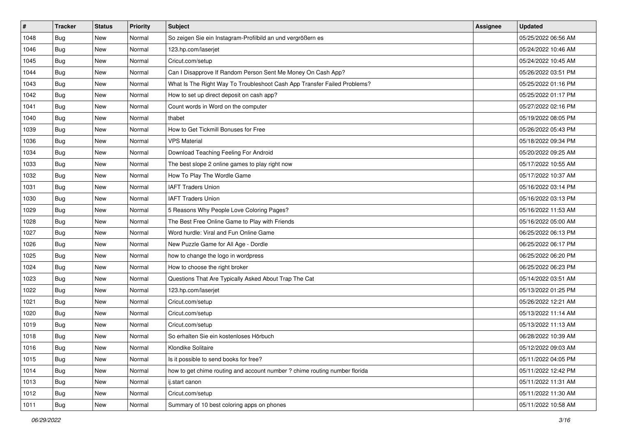| #    | <b>Tracker</b> | <b>Status</b> | <b>Priority</b> | <b>Subject</b>                                                             | <b>Assignee</b> | <b>Updated</b>      |
|------|----------------|---------------|-----------------|----------------------------------------------------------------------------|-----------------|---------------------|
| 1048 | <b>Bug</b>     | New           | Normal          | So zeigen Sie ein Instagram-Profilbild an und vergrößern es                |                 | 05/25/2022 06:56 AM |
| 1046 | Bug            | New           | Normal          | 123.hp.com/laserjet                                                        |                 | 05/24/2022 10:46 AM |
| 1045 | Bug            | New           | Normal          | Cricut.com/setup                                                           |                 | 05/24/2022 10:45 AM |
| 1044 | Bug            | New           | Normal          | Can I Disapprove If Random Person Sent Me Money On Cash App?               |                 | 05/26/2022 03:51 PM |
| 1043 | Bug            | New           | Normal          | What Is The Right Way To Troubleshoot Cash App Transfer Failed Problems?   |                 | 05/25/2022 01:16 PM |
| 1042 | <b>Bug</b>     | New           | Normal          | How to set up direct deposit on cash app?                                  |                 | 05/25/2022 01:17 PM |
| 1041 | Bug            | New           | Normal          | Count words in Word on the computer                                        |                 | 05/27/2022 02:16 PM |
| 1040 | Bug            | New           | Normal          | thabet                                                                     |                 | 05/19/2022 08:05 PM |
| 1039 | <b>Bug</b>     | New           | Normal          | How to Get Tickmill Bonuses for Free                                       |                 | 05/26/2022 05:43 PM |
| 1036 | Bug            | New           | Normal          | <b>VPS Material</b>                                                        |                 | 05/18/2022 09:34 PM |
| 1034 | Bug            | New           | Normal          | Download Teaching Feeling For Android                                      |                 | 05/20/2022 09:25 AM |
| 1033 | Bug            | New           | Normal          | The best slope 2 online games to play right now                            |                 | 05/17/2022 10:55 AM |
| 1032 | Bug            | New           | Normal          | How To Play The Wordle Game                                                |                 | 05/17/2022 10:37 AM |
| 1031 | Bug            | New           | Normal          | <b>IAFT Traders Union</b>                                                  |                 | 05/16/2022 03:14 PM |
| 1030 | Bug            | New           | Normal          | <b>IAFT Traders Union</b>                                                  |                 | 05/16/2022 03:13 PM |
| 1029 | Bug            | New           | Normal          | 5 Reasons Why People Love Coloring Pages?                                  |                 | 05/16/2022 11:53 AM |
| 1028 | <b>Bug</b>     | New           | Normal          | The Best Free Online Game to Play with Friends                             |                 | 05/16/2022 05:00 AM |
| 1027 | Bug            | New           | Normal          | Word hurdle: Viral and Fun Online Game                                     |                 | 06/25/2022 06:13 PM |
| 1026 | <b>Bug</b>     | New           | Normal          | New Puzzle Game for All Age - Dordle                                       |                 | 06/25/2022 06:17 PM |
| 1025 | Bug            | New           | Normal          | how to change the logo in wordpress                                        |                 | 06/25/2022 06:20 PM |
| 1024 | Bug            | New           | Normal          | How to choose the right broker                                             |                 | 06/25/2022 06:23 PM |
| 1023 | <b>Bug</b>     | New           | Normal          | Questions That Are Typically Asked About Trap The Cat                      |                 | 05/14/2022 03:51 AM |
| 1022 | Bug            | New           | Normal          | 123.hp.com/laserjet                                                        |                 | 05/13/2022 01:25 PM |
| 1021 | Bug            | New           | Normal          | Cricut.com/setup                                                           |                 | 05/26/2022 12:21 AM |
| 1020 | Bug            | New           | Normal          | Cricut.com/setup                                                           |                 | 05/13/2022 11:14 AM |
| 1019 | Bug            | New           | Normal          | Cricut.com/setup                                                           |                 | 05/13/2022 11:13 AM |
| 1018 | <b>Bug</b>     | New           | Normal          | So erhalten Sie ein kostenloses Hörbuch                                    |                 | 06/28/2022 10:39 AM |
| 1016 | Bug            | New           | Normal          | Klondike Solitaire                                                         |                 | 05/12/2022 09:03 AM |
| 1015 | Bug            | New           | Normal          | Is it possible to send books for free?                                     |                 | 05/11/2022 04:05 PM |
| 1014 | Bug            | New           | Normal          | how to get chime routing and account number ? chime routing number florida |                 | 05/11/2022 12:42 PM |
| 1013 | Bug            | New           | Normal          | ij.start canon                                                             |                 | 05/11/2022 11:31 AM |
| 1012 | Bug            | New           | Normal          | Cricut.com/setup                                                           |                 | 05/11/2022 11:30 AM |
| 1011 | <b>Bug</b>     | New           | Normal          | Summary of 10 best coloring apps on phones                                 |                 | 05/11/2022 10:58 AM |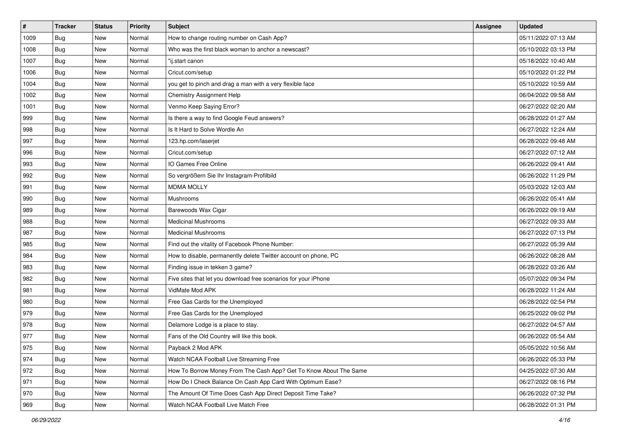| $\sharp$ | <b>Tracker</b> | <b>Status</b> | <b>Priority</b> | <b>Subject</b>                                                    | <b>Assignee</b> | <b>Updated</b>      |
|----------|----------------|---------------|-----------------|-------------------------------------------------------------------|-----------------|---------------------|
| 1009     | Bug            | New           | Normal          | How to change routing number on Cash App?                         |                 | 05/11/2022 07:13 AM |
| 1008     | <b>Bug</b>     | <b>New</b>    | Normal          | Who was the first black woman to anchor a newscast?               |                 | 05/10/2022 03:13 PM |
| 1007     | Bug            | New           | Normal          | "ij.start canon                                                   |                 | 05/18/2022 10:40 AM |
| 1006     | Bug            | <b>New</b>    | Normal          | Cricut.com/setup                                                  |                 | 05/10/2022 01:22 PM |
| 1004     | Bug            | <b>New</b>    | Normal          | you get to pinch and drag a man with a very flexible face         |                 | 05/10/2022 10:59 AM |
| 1002     | <b>Bug</b>     | New           | Normal          | Chemistry Assignment Help                                         |                 | 06/04/2022 09:58 AM |
| 1001     | Bug            | <b>New</b>    | Normal          | Venmo Keep Saying Error?                                          |                 | 06/27/2022 02:20 AM |
| 999      | <b>Bug</b>     | New           | Normal          | Is there a way to find Google Feud answers?                       |                 | 06/28/2022 01:27 AM |
| 998      | <b>Bug</b>     | New           | Normal          | Is It Hard to Solve Wordle An                                     |                 | 06/27/2022 12:24 AM |
| 997      | Bug            | <b>New</b>    | Normal          | 123.hp.com/laserjet                                               |                 | 06/28/2022 09:48 AM |
| 996      | <b>Bug</b>     | New           | Normal          | Cricut.com/setup                                                  |                 | 06/27/2022 07:12 AM |
| 993      | Bug            | New           | Normal          | IO Games Free Online                                              |                 | 06/26/2022 09:41 AM |
| 992      | <b>Bug</b>     | New           | Normal          | So vergrößern Sie Ihr Instagram-Profilbild                        |                 | 06/26/2022 11:29 PM |
| 991      | <b>Bug</b>     | New           | Normal          | <b>MDMA MOLLY</b>                                                 |                 | 05/03/2022 12:03 AM |
| 990      | <b>Bug</b>     | <b>New</b>    | Normal          | Mushrooms                                                         |                 | 06/26/2022 05:41 AM |
| 989      | <b>Bug</b>     | New           | Normal          | Barewoods Wax Cigar                                               |                 | 06/26/2022 09:19 AM |
| 988      | Bug            | New           | Normal          | <b>Medicinal Mushrooms</b>                                        |                 | 06/27/2022 09:33 AM |
| 987      | <b>Bug</b>     | New           | Normal          | <b>Medicinal Mushrooms</b>                                        |                 | 06/27/2022 07:13 PM |
| 985      | <b>Bug</b>     | New           | Normal          | Find out the vitality of Facebook Phone Number:                   |                 | 06/27/2022 05:39 AM |
| 984      | <b>Bug</b>     | <b>New</b>    | Normal          | How to disable, permanently delete Twitter account on phone, PC   |                 | 06/26/2022 08:28 AM |
| 983      | <b>Bug</b>     | New           | Normal          | Finding issue in tekken 3 game?                                   |                 | 06/28/2022 03:26 AM |
| 982      | <b>Bug</b>     | New           | Normal          | Five sites that let you download free scenarios for your iPhone   |                 | 05/07/2022 09:34 PM |
| 981      | Bug            | <b>New</b>    | Normal          | VidMate Mod APK                                                   |                 | 06/28/2022 11:24 AM |
| 980      | <b>Bug</b>     | New           | Normal          | Free Gas Cards for the Unemployed                                 |                 | 06/28/2022 02:54 PM |
| 979      | <b>Bug</b>     | <b>New</b>    | Normal          | Free Gas Cards for the Unemployed                                 |                 | 06/25/2022 09:02 PM |
| 978      | <b>Bug</b>     | New           | Normal          | Delamore Lodge is a place to stay.                                |                 | 06/27/2022 04:57 AM |
| 977      | <b>Bug</b>     | New           | Normal          | Fans of the Old Country will like this book.                      |                 | 06/26/2022 05:54 AM |
| 975      | <b>Bug</b>     | New           | Normal          | Payback 2 Mod APK                                                 |                 | 05/05/2022 10:56 AM |
| 974      | <b>Bug</b>     | New           | Normal          | Watch NCAA Football Live Streaming Free                           |                 | 06/26/2022 05:33 PM |
| 972      | Bug            | New           | Normal          | How To Borrow Money From The Cash App? Get To Know About The Same |                 | 04/25/2022 07:30 AM |
| 971      | Bug            | New           | Normal          | How Do I Check Balance On Cash App Card With Optimum Ease?        |                 | 06/27/2022 08:16 PM |
| 970      | <b>Bug</b>     | New           | Normal          | The Amount Of Time Does Cash App Direct Deposit Time Take?        |                 | 06/26/2022 07:32 PM |
| 969      | Bug            | New           | Normal          | Watch NCAA Football Live Match Free                               |                 | 06/28/2022 01:31 PM |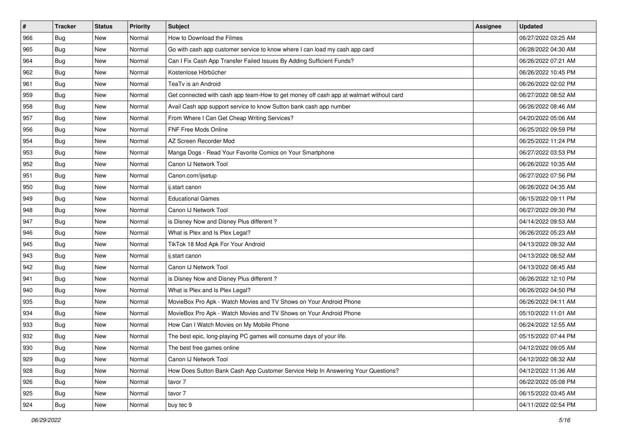| $\sharp$ | <b>Tracker</b> | <b>Status</b> | <b>Priority</b> | <b>Subject</b>                                                                         | <b>Assignee</b> | <b>Updated</b>      |
|----------|----------------|---------------|-----------------|----------------------------------------------------------------------------------------|-----------------|---------------------|
| 966      | <b>Bug</b>     | New           | Normal          | How to Download the Filmes                                                             |                 | 06/27/2022 03:25 AM |
| 965      | Bug            | <b>New</b>    | Normal          | Go with cash app customer service to know where I can load my cash app card            |                 | 06/28/2022 04:30 AM |
| 964      | Bug            | New           | Normal          | Can I Fix Cash App Transfer Failed Issues By Adding Sufficient Funds?                  |                 | 06/26/2022 07:21 AM |
| 962      | <b>Bug</b>     | <b>New</b>    | Normal          | Kostenlose Hörbücher                                                                   |                 | 06/26/2022 10:45 PM |
| 961      | Bug            | <b>New</b>    | Normal          | TeaTv is an Android                                                                    |                 | 06/26/2022 02:02 PM |
| 959      | <b>Bug</b>     | New           | Normal          | Get connected with cash app team-How to get money off cash app at walmart without card |                 | 06/27/2022 08:52 AM |
| 958      | Bug            | <b>New</b>    | Normal          | Avail Cash app support service to know Sutton bank cash app number                     |                 | 06/26/2022 08:46 AM |
| 957      | <b>Bug</b>     | New           | Normal          | From Where I Can Get Cheap Writing Services?                                           |                 | 04/20/2022 05:06 AM |
| 956      | <b>Bug</b>     | New           | Normal          | FNF Free Mods Online                                                                   |                 | 06/25/2022 09:59 PM |
| 954      | Bug            | <b>New</b>    | Normal          | AZ Screen Recorder Mod                                                                 |                 | 06/25/2022 11:24 PM |
| 953      | Bug            | New           | Normal          | Manga Dogs - Read Your Favorite Comics on Your Smartphone                              |                 | 06/27/2022 03:53 PM |
| 952      | Bug            | New           | Normal          | Canon IJ Network Tool                                                                  |                 | 06/26/2022 10:35 AM |
| 951      | Bug            | <b>New</b>    | Normal          | Canon.com/ijsetup                                                                      |                 | 06/27/2022 07:56 PM |
| 950      | Bug            | New           | Normal          | ij.start canon                                                                         |                 | 06/26/2022 04:35 AM |
| 949      | <b>Bug</b>     | <b>New</b>    | Normal          | <b>Educational Games</b>                                                               |                 | 06/15/2022 09:11 PM |
| 948      | <b>Bug</b>     | New           | Normal          | Canon IJ Network Tool                                                                  |                 | 06/27/2022 09:30 PM |
| 947      | <b>Bug</b>     | <b>New</b>    | Normal          | is Disney Now and Disney Plus different?                                               |                 | 04/14/2022 09:53 AM |
| 946      | Bug            | <b>New</b>    | Normal          | What is Plex and Is Plex Legal?                                                        |                 | 06/26/2022 05:23 AM |
| 945      | <b>Bug</b>     | New           | Normal          | TikTok 18 Mod Apk For Your Android                                                     |                 | 04/13/2022 09:32 AM |
| 943      | Bug            | <b>New</b>    | Normal          | ij.start canon                                                                         |                 | 04/13/2022 08:52 AM |
| 942      | <b>Bug</b>     | New           | Normal          | Canon IJ Network Tool                                                                  |                 | 04/13/2022 08:45 AM |
| 941      | <b>Bug</b>     | <b>New</b>    | Normal          | is Disney Now and Disney Plus different?                                               |                 | 06/26/2022 12:10 PM |
| 940      | Bug            | <b>New</b>    | Normal          | What is Plex and Is Plex Legal?                                                        |                 | 06/26/2022 04:50 PM |
| 935      | Bug            | New           | Normal          | MovieBox Pro Apk - Watch Movies and TV Shows on Your Android Phone                     |                 | 06/26/2022 04:11 AM |
| 934      | Bug            | <b>New</b>    | Normal          | MovieBox Pro Apk - Watch Movies and TV Shows on Your Android Phone                     |                 | 05/10/2022 11:01 AM |
| 933      | <b>Bug</b>     | <b>New</b>    | Normal          | How Can I Watch Movies on My Mobile Phone                                              |                 | 06/24/2022 12:55 AM |
| 932      | <b>Bug</b>     | New           | Normal          | The best epic, long-playing PC games will consume days of your life.                   |                 | 05/15/2022 07:44 PM |
| 930      | <b>Bug</b>     | New           | Normal          | The best free games online                                                             |                 | 04/12/2022 09:05 AM |
| 929      | Bug            | New           | Normal          | Canon IJ Network Tool                                                                  |                 | 04/12/2022 08:32 AM |
| 928      | Bug            | New           | Normal          | How Does Sutton Bank Cash App Customer Service Help In Answering Your Questions?       |                 | 04/12/2022 11:36 AM |
| 926      | Bug            | New           | Normal          | tavor 7                                                                                |                 | 06/22/2022 05:08 PM |
| 925      | <b>Bug</b>     | New           | Normal          | tavor 7                                                                                |                 | 06/15/2022 03:45 AM |
| 924      | <b>Bug</b>     | New           | Normal          | buy tec 9                                                                              |                 | 04/11/2022 02:54 PM |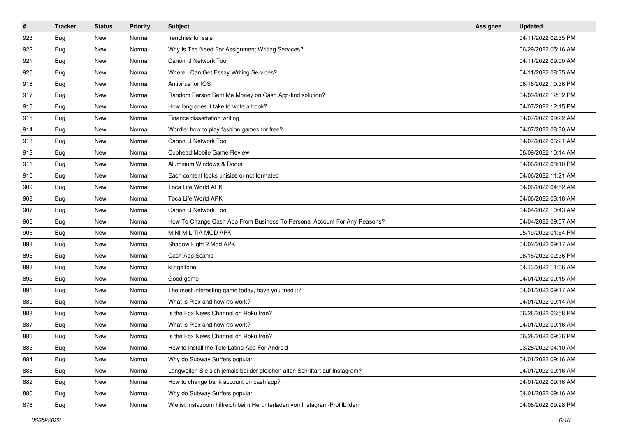| $\sharp$ | <b>Tracker</b> | <b>Status</b> | <b>Priority</b> | Subject                                                                     | <b>Assignee</b> | <b>Updated</b>      |
|----------|----------------|---------------|-----------------|-----------------------------------------------------------------------------|-----------------|---------------------|
| 923      | <b>Bug</b>     | New           | Normal          | frenchies for sale                                                          |                 | 04/11/2022 02:35 PM |
| 922      | Bug            | <b>New</b>    | Normal          | Why Is The Need For Assignment Writing Services?                            |                 | 06/29/2022 05:16 AM |
| 921      | Bug            | New           | Normal          | Canon IJ Network Tool                                                       |                 | 04/11/2022 09:00 AM |
| 920      | <b>Bug</b>     | <b>New</b>    | Normal          | Where I Can Get Essay Writing Services?                                     |                 | 04/11/2022 08:35 AM |
| 918      | Bug            | New           | Normal          | Antivirus for IOS                                                           |                 | 06/16/2022 10:36 PM |
| 917      | <b>Bug</b>     | New           | Normal          | Random Person Sent Me Money on Cash App-find solution?                      |                 | 04/09/2022 12:32 PM |
| 916      | Bug            | <b>New</b>    | Normal          | How long does it take to write a book?                                      |                 | 04/07/2022 12:15 PM |
| 915      | <b>Bug</b>     | New           | Normal          | Finance dissertation writing                                                |                 | 04/07/2022 09:22 AM |
| 914      | <b>Bug</b>     | New           | Normal          | Wordle: how to play fashion games for free?                                 |                 | 04/07/2022 08:30 AM |
| 913      | Bug            | <b>New</b>    | Normal          | Canon IJ Network Tool                                                       |                 | 04/07/2022 06:21 AM |
| 912      | Bug            | New           | Normal          | Cuphead Mobile Game Review                                                  |                 | 06/09/2022 10:14 AM |
| 911      | Bug            | New           | Normal          | Aluminum Windows & Doors                                                    |                 | 04/06/2022 08:10 PM |
| 910      | <b>Bug</b>     | New           | Normal          | Each content looks unisize or not formated                                  |                 | 04/06/2022 11:21 AM |
| 909      | <b>Bug</b>     | New           | Normal          | Toca Life World APK                                                         |                 | 04/06/2022 04:52 AM |
| 908      | Bug            | <b>New</b>    | Normal          | Toca Life World APK                                                         |                 | 04/06/2022 03:18 AM |
| 907      | <b>Bug</b>     | New           | Normal          | Canon IJ Network Tool                                                       |                 | 04/04/2022 10:43 AM |
| 906      | <b>Bug</b>     | <b>New</b>    | Normal          | How To Change Cash App From Business To Personal Account For Any Reasons?   |                 | 04/04/2022 09:57 AM |
| 905      | Bug            | <b>New</b>    | Normal          | MINI MILITIA MOD APK                                                        |                 | 05/19/2022 01:54 PM |
| 898      | Bug            | New           | Normal          | Shadow Fight 2 Mod APK                                                      |                 | 04/02/2022 09:17 AM |
| 895      | Bug            | <b>New</b>    | Normal          | Cash App Scams                                                              |                 | 06/18/2022 02:36 PM |
| 893      | <b>Bug</b>     | New           | Normal          | klingeltone                                                                 |                 | 04/13/2022 11:06 AM |
| 892      | <b>Bug</b>     | New           | Normal          | Good game                                                                   |                 | 04/01/2022 09:15 AM |
| 891      | Bug            | <b>New</b>    | Normal          | The most interesting game today, have you tried it?                         |                 | 04/01/2022 09:17 AM |
| 889      | Bug            | New           | Normal          | What is Plex and how it's work?                                             |                 | 04/01/2022 09:14 AM |
| 888      | <b>Bug</b>     | New           | Normal          | Is the Fox News Channel on Roku free?                                       |                 | 06/28/2022 06:58 PM |
| 887      | <b>Bug</b>     | New           | Normal          | What is Plex and how it's work?                                             |                 | 04/01/2022 09:16 AM |
| 886      | <b>Bug</b>     | New           | Normal          | Is the Fox News Channel on Roku free?                                       |                 | 06/28/2022 09:36 PM |
| 885      | <b>Bug</b>     | New           | Normal          | How to Install the Tele Latino App For Android                              |                 | 03/28/2022 04:10 AM |
| 884      | Bug            | New           | Normal          | Why do Subway Surfers popular                                               |                 | 04/01/2022 09:16 AM |
| 883      | Bug            | New           | Normal          | Langweilen Sie sich jemals bei der gleichen alten Schriftart auf Instagram? |                 | 04/01/2022 09:16 AM |
| 882      | Bug            | New           | Normal          | How to change bank account on cash app?                                     |                 | 04/01/2022 09:16 AM |
| 880      | <b>Bug</b>     | New           | Normal          | Why do Subway Surfers popular                                               |                 | 04/01/2022 09:16 AM |
| 878      | <b>Bug</b>     | New           | Normal          | Wie ist instazoom hilfreich beim Herunterladen von Instagram-Profilbildern  |                 | 04/08/2022 09:28 PM |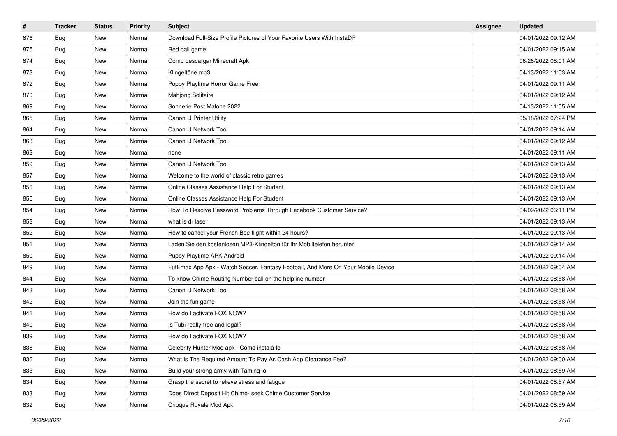| $\sharp$ | <b>Tracker</b> | <b>Status</b> | <b>Priority</b> | <b>Subject</b>                                                                   | <b>Assignee</b> | <b>Updated</b>      |
|----------|----------------|---------------|-----------------|----------------------------------------------------------------------------------|-----------------|---------------------|
| 876      | Bug            | New           | Normal          | Download Full-Size Profile Pictures of Your Favorite Users With InstaDP          |                 | 04/01/2022 09:12 AM |
| 875      | Bug            | New           | Normal          | Red ball game                                                                    |                 | 04/01/2022 09:15 AM |
| 874      | <b>Bug</b>     | New           | Normal          | Cómo descargar Minecraft Apk                                                     |                 | 06/26/2022 08:01 AM |
| 873      | <b>Bug</b>     | New           | Normal          | Klingeltöne mp3                                                                  |                 | 04/13/2022 11:03 AM |
| 872      | <b>Bug</b>     | <b>New</b>    | Normal          | Poppy Playtime Horror Game Free                                                  |                 | 04/01/2022 09:11 AM |
| 870      | Bug            | New           | Normal          | Mahjong Solitaire                                                                |                 | 04/01/2022 09:12 AM |
| 869      | Bug            | <b>New</b>    | Normal          | Sonnerie Post Malone 2022                                                        |                 | 04/13/2022 11:05 AM |
| 865      | <b>Bug</b>     | New           | Normal          | Canon IJ Printer Utility                                                         |                 | 05/18/2022 07:24 PM |
| 864      | <b>Bug</b>     | New           | Normal          | Canon IJ Network Tool                                                            |                 | 04/01/2022 09:14 AM |
| 863      | <b>Bug</b>     | <b>New</b>    | Normal          | Canon IJ Network Tool                                                            |                 | 04/01/2022 09:12 AM |
| 862      | Bug            | New           | Normal          | none                                                                             |                 | 04/01/2022 09:11 AM |
| 859      | <b>Bug</b>     | New           | Normal          | Canon IJ Network Tool                                                            |                 | 04/01/2022 09:13 AM |
| 857      | Bug            | <b>New</b>    | Normal          | Welcome to the world of classic retro games                                      |                 | 04/01/2022 09:13 AM |
| 856      | <b>Bug</b>     | New           | Normal          | Online Classes Assistance Help For Student                                       |                 | 04/01/2022 09:13 AM |
| 855      | <b>Bug</b>     | <b>New</b>    | Normal          | Online Classes Assistance Help For Student                                       |                 | 04/01/2022 09:13 AM |
| 854      | <b>Bug</b>     | New           | Normal          | How To Resolve Password Problems Through Facebook Customer Service?              |                 | 04/09/2022 06:11 PM |
| 853      | <b>Bug</b>     | New           | Normal          | what is dr laser                                                                 |                 | 04/01/2022 09:13 AM |
| 852      | Bug            | <b>New</b>    | Normal          | How to cancel your French Bee flight within 24 hours?                            |                 | 04/01/2022 09:13 AM |
| 851      | <b>Bug</b>     | New           | Normal          | Laden Sie den kostenlosen MP3-Klingelton für Ihr Mobiltelefon herunter           |                 | 04/01/2022 09:14 AM |
| 850      | <b>Bug</b>     | <b>New</b>    | Normal          | Puppy Playtime APK Android                                                       |                 | 04/01/2022 09:14 AM |
| 849      | <b>Bug</b>     | <b>New</b>    | Normal          | FutEmax App Apk - Watch Soccer, Fantasy Football, And More On Your Mobile Device |                 | 04/01/2022 09:04 AM |
| 844      | <b>Bug</b>     | New           | Normal          | To know Chime Routing Number call on the helpline number                         |                 | 04/01/2022 08:58 AM |
| 843      | Bug            | <b>New</b>    | Normal          | Canon IJ Network Tool                                                            |                 | 04/01/2022 08:58 AM |
| 842      | Bug            | New           | Normal          | Join the fun game                                                                |                 | 04/01/2022 08:58 AM |
| 841      | Bug            | New           | Normal          | How do I activate FOX NOW?                                                       |                 | 04/01/2022 08:58 AM |
| 840      | Bug            | <b>New</b>    | Normal          | Is Tubi really free and legal?                                                   |                 | 04/01/2022 08:58 AM |
| 839      | <b>Bug</b>     | New           | Normal          | How do I activate FOX NOW?                                                       |                 | 04/01/2022 08:58 AM |
| 838      | Bug            | New           | Normal          | Celebrity Hunter Mod apk - Como instalá-lo                                       |                 | 04/01/2022 08:58 AM |
| 836      | Bug            | New           | Normal          | What Is The Required Amount To Pay As Cash App Clearance Fee?                    |                 | 04/01/2022 09:00 AM |
| 835      | Bug            | New           | Normal          | Build your strong army with Taming io                                            |                 | 04/01/2022 08:59 AM |
| 834      | Bug            | New           | Normal          | Grasp the secret to relieve stress and fatigue                                   |                 | 04/01/2022 08:57 AM |
| 833      | <b>Bug</b>     | New           | Normal          | Does Direct Deposit Hit Chime- seek Chime Customer Service                       |                 | 04/01/2022 08:59 AM |
| 832      | <b>Bug</b>     | New           | Normal          | Choque Royale Mod Apk                                                            |                 | 04/01/2022 08:59 AM |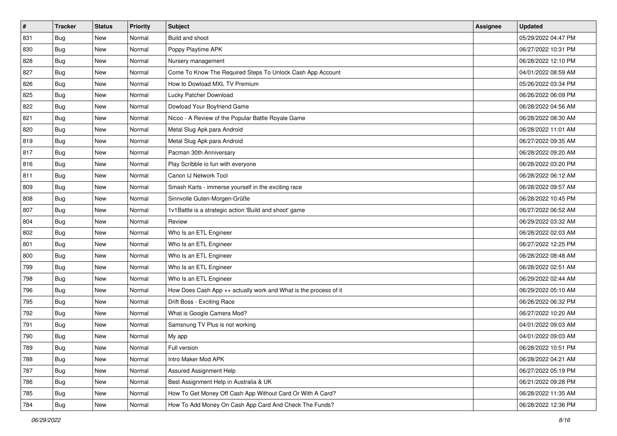| $\sharp$ | <b>Tracker</b> | <b>Status</b> | <b>Priority</b> | Subject                                                          | <b>Assignee</b> | <b>Updated</b>      |
|----------|----------------|---------------|-----------------|------------------------------------------------------------------|-----------------|---------------------|
| 831      | <b>Bug</b>     | New           | Normal          | Build and shoot                                                  |                 | 05/29/2022 04:47 PM |
| 830      | Bug            | <b>New</b>    | Normal          | Poppy Playtime APK                                               |                 | 06/27/2022 10:31 PM |
| 828      | <b>Bug</b>     | New           | Normal          | Nursery management                                               |                 | 06/28/2022 12:10 PM |
| 827      | <b>Bug</b>     | <b>New</b>    | Normal          | Come To Know The Required Steps To Unlock Cash App Account       |                 | 04/01/2022 08:59 AM |
| 826      | Bug            | <b>New</b>    | Normal          | How to Dowload MXL TV Premium                                    |                 | 05/26/2022 03:34 PM |
| 825      | <b>Bug</b>     | New           | Normal          | Lucky Patcher Download                                           |                 | 06/26/2022 06:09 PM |
| 822      | <b>Bug</b>     | <b>New</b>    | Normal          | Dowload Your Boyfriend Game                                      |                 | 06/28/2022 04:56 AM |
| 821      | Bug            | New           | Normal          | Nicoo - A Review of the Popular Battle Royale Game               |                 | 06/28/2022 08:30 AM |
| 820      | <b>Bug</b>     | New           | Normal          | Metal Slug Apk para Android                                      |                 | 06/28/2022 11:01 AM |
| 819      | Bug            | <b>New</b>    | Normal          | Metal Slug Apk para Android                                      |                 | 06/27/2022 09:35 AM |
| 817      | Bug            | New           | Normal          | Pacman 30th Anniversary                                          |                 | 06/28/2022 09:20 AM |
| 816      | Bug            | New           | Normal          | Play Scribble io fun with everyone                               |                 | 06/28/2022 03:20 PM |
| 811      | <b>Bug</b>     | <b>New</b>    | Normal          | Canon IJ Network Tool                                            |                 | 06/28/2022 06:12 AM |
| 809      | Bug            | New           | Normal          | Smash Karts - immerse yourself in the exciting race              |                 | 06/28/2022 09:57 AM |
| 808      | Bug            | <b>New</b>    | Normal          | Sinnvolle Guten-Morgen-Grüße                                     |                 | 06/28/2022 10:45 PM |
| 807      | <b>Bug</b>     | New           | Normal          | 1v1Battle is a strategic action 'Build and shoot' game           |                 | 06/27/2022 06:52 AM |
| 804      | <b>Bug</b>     | <b>New</b>    | Normal          | Review                                                           |                 | 06/29/2022 03:32 AM |
| 802      | Bug            | <b>New</b>    | Normal          | Who Is an ETL Engineer                                           |                 | 06/28/2022 02:03 AM |
| 801      | Bug            | New           | Normal          | Who Is an ETL Engineer                                           |                 | 06/27/2022 12:25 PM |
| 800      | Bug            | <b>New</b>    | Normal          | Who Is an ETL Engineer                                           |                 | 06/28/2022 08:48 AM |
| 799      | <b>Bug</b>     | New           | Normal          | Who Is an ETL Engineer                                           |                 | 06/28/2022 02:51 AM |
| 798      | <b>Bug</b>     | New           | Normal          | Who Is an ETL Engineer                                           |                 | 06/29/2022 02:44 AM |
| 796      | Bug            | <b>New</b>    | Normal          | How Does Cash App ++ actually work and What is the process of it |                 | 06/29/2022 05:10 AM |
| 795      | <b>Bug</b>     | New           | Normal          | Drift Boss - Exciting Race                                       |                 | 06/26/2022 06:32 PM |
| 792      | <b>Bug</b>     | New           | Normal          | What is Google Camera Mod?                                       |                 | 06/27/2022 10:20 AM |
| 791      | <b>Bug</b>     | New           | Normal          | Samsnung TV Plus is not working                                  |                 | 04/01/2022 09:03 AM |
| 790      | <b>Bug</b>     | New           | Normal          | My app                                                           |                 | 04/01/2022 09:03 AM |
| 789      | <b>Bug</b>     | New           | Normal          | Full version                                                     |                 | 06/28/2022 10:51 PM |
| 788      | Bug            | New           | Normal          | Intro Maker Mod APK                                              |                 | 06/28/2022 04:21 AM |
| 787      | Bug            | New           | Normal          | Assured Assignment Help                                          |                 | 06/27/2022 05:19 PM |
| 786      | Bug            | New           | Normal          | Best Assignment Help in Australia & UK                           |                 | 06/21/2022 09:28 PM |
| 785      | <b>Bug</b>     | New           | Normal          | How To Get Money Off Cash App Without Card Or With A Card?       |                 | 06/28/2022 11:35 AM |
| 784      | <b>Bug</b>     | New           | Normal          | How To Add Money On Cash App Card And Check The Funds?           |                 | 06/28/2022 12:36 PM |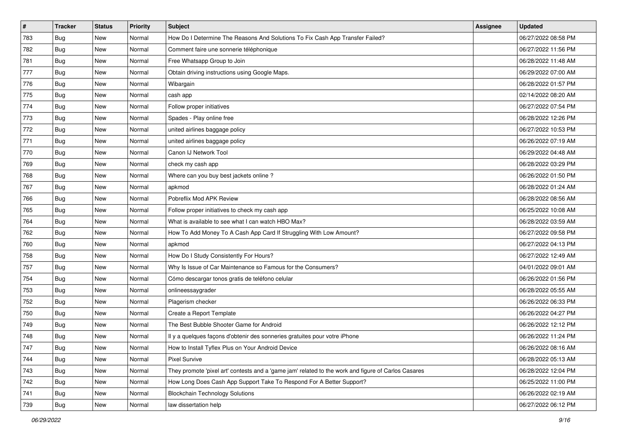| #   | <b>Tracker</b> | <b>Status</b> | <b>Priority</b> | <b>Subject</b>                                                                                      | <b>Assignee</b> | <b>Updated</b>      |
|-----|----------------|---------------|-----------------|-----------------------------------------------------------------------------------------------------|-----------------|---------------------|
| 783 | Bug            | New           | Normal          | How Do I Determine The Reasons And Solutions To Fix Cash App Transfer Failed?                       |                 | 06/27/2022 08:58 PM |
| 782 | Bug            | New           | Normal          | Comment faire une sonnerie téléphonique                                                             |                 | 06/27/2022 11:56 PM |
| 781 | Bug            | New           | Normal          | Free Whatsapp Group to Join                                                                         |                 | 06/28/2022 11:48 AM |
| 777 | <b>Bug</b>     | New           | Normal          | Obtain driving instructions using Google Maps.                                                      |                 | 06/29/2022 07:00 AM |
| 776 | <b>Bug</b>     | New           | Normal          | Wibargain                                                                                           |                 | 06/28/2022 01:57 PM |
| 775 | Bug            | New           | Normal          | cash app                                                                                            |                 | 02/14/2022 08:20 AM |
| 774 | <b>Bug</b>     | New           | Normal          | Follow proper initiatives                                                                           |                 | 06/27/2022 07:54 PM |
| 773 | Bug            | New           | Normal          | Spades - Play online free                                                                           |                 | 06/28/2022 12:26 PM |
| 772 | <b>Bug</b>     | New           | Normal          | united airlines baggage policy                                                                      |                 | 06/27/2022 10:53 PM |
| 771 | <b>Bug</b>     | New           | Normal          | united airlines baggage policy                                                                      |                 | 06/26/2022 07:19 AM |
| 770 | Bug            | New           | Normal          | Canon IJ Network Tool                                                                               |                 | 06/29/2022 04:48 AM |
| 769 | Bug            | New           | Normal          | check my cash app                                                                                   |                 | 06/28/2022 03:29 PM |
| 768 | Bug            | <b>New</b>    | Normal          | Where can you buy best jackets online?                                                              |                 | 06/26/2022 01:50 PM |
| 767 | <b>Bug</b>     | New           | Normal          | apkmod                                                                                              |                 | 06/28/2022 01:24 AM |
| 766 | <b>Bug</b>     | New           | Normal          | Pobreflix Mod APK Review                                                                            |                 | 06/28/2022 08:56 AM |
| 765 | <b>Bug</b>     | New           | Normal          | Follow proper initiatives to check my cash app                                                      |                 | 06/25/2022 10:08 AM |
| 764 | Bug            | New           | Normal          | What is available to see what I can watch HBO Max?                                                  |                 | 06/28/2022 03:59 AM |
| 762 | Bug            | <b>New</b>    | Normal          | How To Add Money To A Cash App Card If Struggling With Low Amount?                                  |                 | 06/27/2022 09:58 PM |
| 760 | Bug            | New           | Normal          | apkmod                                                                                              |                 | 06/27/2022 04:13 PM |
| 758 | Bug            | New           | Normal          | How Do I Study Consistently For Hours?                                                              |                 | 06/27/2022 12:49 AM |
| 757 | <b>Bug</b>     | New           | Normal          | Why Is Issue of Car Maintenance so Famous for the Consumers?                                        |                 | 04/01/2022 09:01 AM |
| 754 | <b>Bug</b>     | New           | Normal          | Cómo descargar tonos gratis de teléfono celular                                                     |                 | 06/26/2022 01:56 PM |
| 753 | Bug            | New           | Normal          | onlineessaygrader                                                                                   |                 | 06/28/2022 05:55 AM |
| 752 | Bug            | New           | Normal          | Plagerism checker                                                                                   |                 | 06/26/2022 06:33 PM |
| 750 | Bug            | New           | Normal          | Create a Report Template                                                                            |                 | 06/26/2022 04:27 PM |
| 749 | Bug            | <b>New</b>    | Normal          | The Best Bubble Shooter Game for Android                                                            |                 | 06/26/2022 12:12 PM |
| 748 | Bug            | New           | Normal          | Il y a quelques façons d'obtenir des sonneries gratuites pour votre iPhone                          |                 | 06/26/2022 11:24 PM |
| 747 | Bug            | New           | Normal          | How to Install Tyflex Plus on Your Android Device                                                   |                 | 06/26/2022 08:16 AM |
| 744 | Bug            | New           | Normal          | <b>Pixel Survive</b>                                                                                |                 | 06/28/2022 05:13 AM |
| 743 | <b>Bug</b>     | New           | Normal          | They promote 'pixel art' contests and a 'game jam' related to the work and figure of Carlos Casares |                 | 06/28/2022 12:04 PM |
| 742 | <b>Bug</b>     | New           | Normal          | How Long Does Cash App Support Take To Respond For A Better Support?                                |                 | 06/25/2022 11:00 PM |
| 741 | <b>Bug</b>     | New           | Normal          | <b>Blockchain Technology Solutions</b>                                                              |                 | 06/26/2022 02:19 AM |
| 739 | <b>Bug</b>     | New           | Normal          | law dissertation help                                                                               |                 | 06/27/2022 06:12 PM |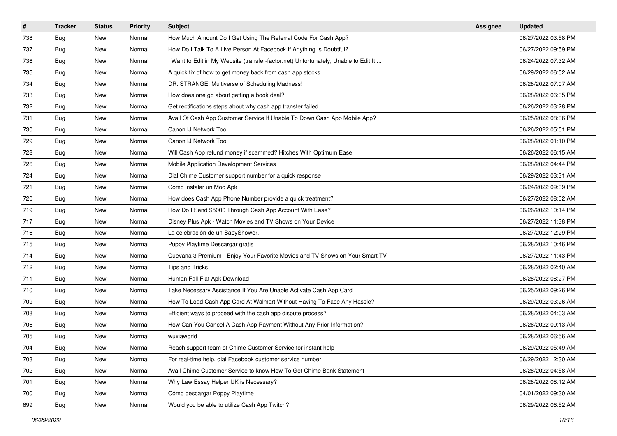| $\vert$ # | <b>Tracker</b> | <b>Status</b> | <b>Priority</b> | <b>Subject</b>                                                                      | <b>Assignee</b> | <b>Updated</b>      |
|-----------|----------------|---------------|-----------------|-------------------------------------------------------------------------------------|-----------------|---------------------|
| 738       | <b>Bug</b>     | New           | Normal          | How Much Amount Do I Get Using The Referral Code For Cash App?                      |                 | 06/27/2022 03:58 PM |
| 737       | Bug            | <b>New</b>    | Normal          | How Do I Talk To A Live Person At Facebook If Anything Is Doubtful?                 |                 | 06/27/2022 09:59 PM |
| 736       | <b>Bug</b>     | New           | Normal          | I Want to Edit in My Website (transfer-factor.net) Unfortunately, Unable to Edit It |                 | 06/24/2022 07:32 AM |
| 735       | <b>Bug</b>     | <b>New</b>    | Normal          | A quick fix of how to get money back from cash app stocks                           |                 | 06/29/2022 06:52 AM |
| 734       | <b>Bug</b>     | <b>New</b>    | Normal          | DR. STRANGE: Multiverse of Scheduling Madness!                                      |                 | 06/28/2022 07:07 AM |
| 733       | <b>Bug</b>     | New           | Normal          | How does one go about getting a book deal?                                          |                 | 06/28/2022 06:35 PM |
| 732       | <b>Bug</b>     | New           | Normal          | Get rectifications steps about why cash app transfer failed                         |                 | 06/26/2022 03:28 PM |
| 731       | <b>Bug</b>     | New           | Normal          | Avail Of Cash App Customer Service If Unable To Down Cash App Mobile App?           |                 | 06/25/2022 08:36 PM |
| 730       | <b>Bug</b>     | New           | Normal          | Canon IJ Network Tool                                                               |                 | 06/26/2022 05:51 PM |
| 729       | <b>Bug</b>     | <b>New</b>    | Normal          | Canon IJ Network Tool                                                               |                 | 06/28/2022 01:10 PM |
| 728       | Bug            | New           | Normal          | Will Cash App refund money if scammed? Hitches With Optimum Ease                    |                 | 06/26/2022 06:15 AM |
| 726       | Bug            | New           | Normal          | Mobile Application Development Services                                             |                 | 06/28/2022 04:44 PM |
| 724       | <b>Bug</b>     | <b>New</b>    | Normal          | Dial Chime Customer support number for a quick response                             |                 | 06/29/2022 03:31 AM |
| 721       | <b>Bug</b>     | New           | Normal          | Cómo instalar un Mod Apk                                                            |                 | 06/24/2022 09:39 PM |
| 720       | <b>Bug</b>     | <b>New</b>    | Normal          | How does Cash App Phone Number provide a quick treatment?                           |                 | 06/27/2022 08:02 AM |
| 719       | Bug            | New           | Normal          | How Do I Send \$5000 Through Cash App Account With Ease?                            |                 | 06/26/2022 10:14 PM |
| 717       | <b>Bug</b>     | <b>New</b>    | Normal          | Disney Plus Apk - Watch Movies and TV Shows on Your Device                          |                 | 06/27/2022 11:38 PM |
| 716       | Bug            | <b>New</b>    | Normal          | La celebración de un BabyShower.                                                    |                 | 06/27/2022 12:29 PM |
| 715       | <b>Bug</b>     | New           | Normal          | Puppy Playtime Descargar gratis                                                     |                 | 06/28/2022 10:46 PM |
| 714       | <b>Bug</b>     | <b>New</b>    | Normal          | Cuevana 3 Premium - Enjoy Your Favorite Movies and TV Shows on Your Smart TV        |                 | 06/27/2022 11:43 PM |
| 712       | <b>Bug</b>     | New           | Normal          | Tips and Tricks                                                                     |                 | 06/28/2022 02:40 AM |
| 711       | <b>Bug</b>     | <b>New</b>    | Normal          | Human Fall Flat Apk Download                                                        |                 | 06/28/2022 08:27 PM |
| 710       | Bug            | <b>New</b>    | Normal          | Take Necessary Assistance If You Are Unable Activate Cash App Card                  |                 | 06/25/2022 09:26 PM |
| 709       | <b>Bug</b>     | New           | Normal          | How To Load Cash App Card At Walmart Without Having To Face Any Hassle?             |                 | 06/29/2022 03:26 AM |
| 708       | Bug            | New           | Normal          | Efficient ways to proceed with the cash app dispute process?                        |                 | 06/28/2022 04:03 AM |
| 706       | <b>Bug</b>     | <b>New</b>    | Normal          | How Can You Cancel A Cash App Payment Without Any Prior Information?                |                 | 06/26/2022 09:13 AM |
| 705       | <b>Bug</b>     | New           | Normal          | wuxiaworld                                                                          |                 | 06/28/2022 06:56 AM |
| 704       | I Bug          | New           | Normal          | Reach support team of Chime Customer Service for instant help                       |                 | 06/29/2022 05:49 AM |
| 703       | <b>Bug</b>     | New           | Normal          | For real-time help, dial Facebook customer service number                           |                 | 06/29/2022 12:30 AM |
| 702       | Bug            | New           | Normal          | Avail Chime Customer Service to know How To Get Chime Bank Statement                |                 | 06/28/2022 04:58 AM |
| 701       | Bug            | New           | Normal          | Why Law Essay Helper UK is Necessary?                                               |                 | 06/28/2022 08:12 AM |
| 700       | <b>Bug</b>     | New           | Normal          | Cómo descargar Poppy Playtime                                                       |                 | 04/01/2022 09:30 AM |
| 699       | <b>Bug</b>     | New           | Normal          | Would you be able to utilize Cash App Twitch?                                       |                 | 06/29/2022 06:52 AM |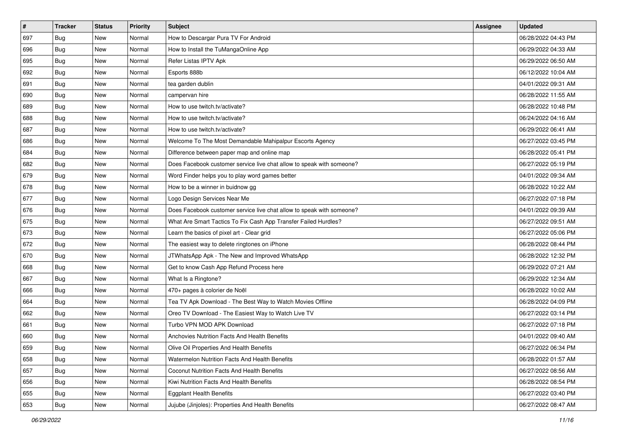| $\sharp$ | <b>Tracker</b> | <b>Status</b> | <b>Priority</b> | <b>Subject</b>                                                        | <b>Assignee</b> | <b>Updated</b>      |
|----------|----------------|---------------|-----------------|-----------------------------------------------------------------------|-----------------|---------------------|
| 697      | <b>Bug</b>     | New           | Normal          | How to Descargar Pura TV For Android                                  |                 | 06/28/2022 04:43 PM |
| 696      | Bug            | <b>New</b>    | Normal          | How to Install the TuMangaOnline App                                  |                 | 06/29/2022 04:33 AM |
| 695      | Bug            | New           | Normal          | Refer Listas IPTV Apk                                                 |                 | 06/29/2022 06:50 AM |
| 692      | <b>Bug</b>     | <b>New</b>    | Normal          | Esports 888b                                                          |                 | 06/12/2022 10:04 AM |
| 691      | Bug            | New           | Normal          | tea garden dublin                                                     |                 | 04/01/2022 09:31 AM |
| 690      | <b>Bug</b>     | New           | Normal          | campervan hire                                                        |                 | 06/28/2022 11:55 AM |
| 689      | <b>Bug</b>     | New           | Normal          | How to use twitch.tv/activate?                                        |                 | 06/28/2022 10:48 PM |
| 688      | Bug            | New           | Normal          | How to use twitch.tv/activate?                                        |                 | 06/24/2022 04:16 AM |
| 687      | <b>Bug</b>     | New           | Normal          | How to use twitch.tv/activate?                                        |                 | 06/29/2022 06:41 AM |
| 686      | Bug            | <b>New</b>    | Normal          | Welcome To The Most Demandable Mahipalpur Escorts Agency              |                 | 06/27/2022 03:45 PM |
| 684      | <b>Bug</b>     | New           | Normal          | Difference between paper map and online map                           |                 | 06/28/2022 05:41 PM |
| 682      | Bug            | New           | Normal          | Does Facebook customer service live chat allow to speak with someone? |                 | 06/27/2022 05:19 PM |
| 679      | <b>Bug</b>     | New           | Normal          | Word Finder helps you to play word games better                       |                 | 04/01/2022 09:34 AM |
| 678      | <b>Bug</b>     | New           | Normal          | How to be a winner in buidnow gg                                      |                 | 06/28/2022 10:22 AM |
| 677      | Bug            | <b>New</b>    | Normal          | Logo Design Services Near Me                                          |                 | 06/27/2022 07:18 PM |
| 676      | <b>Bug</b>     | New           | Normal          | Does Facebook customer service live chat allow to speak with someone? |                 | 04/01/2022 09:39 AM |
| 675      | <b>Bug</b>     | <b>New</b>    | Normal          | What Are Smart Tactics To Fix Cash App Transfer Failed Hurdles?       |                 | 06/27/2022 09:51 AM |
| 673      | Bug            | <b>New</b>    | Normal          | Learn the basics of pixel art - Clear grid                            |                 | 06/27/2022 05:06 PM |
| 672      | Bug            | New           | Normal          | The easiest way to delete ringtones on iPhone                         |                 | 06/28/2022 08:44 PM |
| 670      | Bug            | <b>New</b>    | Normal          | JTWhatsApp Apk - The New and Improved WhatsApp                        |                 | 06/28/2022 12:32 PM |
| 668      | <b>Bug</b>     | New           | Normal          | Get to know Cash App Refund Process here                              |                 | 06/29/2022 07:21 AM |
| 667      | <b>Bug</b>     | New           | Normal          | What Is a Ringtone?                                                   |                 | 06/29/2022 12:34 AM |
| 666      | Bug            | <b>New</b>    | Normal          | 470+ pages à colorier de Noël                                         |                 | 06/28/2022 10:02 AM |
| 664      | <b>Bug</b>     | New           | Normal          | Tea TV Apk Download - The Best Way to Watch Movies Offline            |                 | 06/28/2022 04:09 PM |
| 662      | <b>Bug</b>     | New           | Normal          | Oreo TV Download - The Easiest Way to Watch Live TV                   |                 | 06/27/2022 03:14 PM |
| 661      | <b>Bug</b>     | New           | Normal          | Turbo VPN MOD APK Download                                            |                 | 06/27/2022 07:18 PM |
| 660      | Bug            | New           | Normal          | Anchovies Nutrition Facts And Health Benefits                         |                 | 04/01/2022 09:40 AM |
| 659      | i Bug          | New           | Normal          | Olive Oil Properties And Health Benefits                              |                 | 06/27/2022 06:34 PM |
| 658      | <b>Bug</b>     | New           | Normal          | Watermelon Nutrition Facts And Health Benefits                        |                 | 06/28/2022 01:57 AM |
| 657      | Bug            | New           | Normal          | Coconut Nutrition Facts And Health Benefits                           |                 | 06/27/2022 08:56 AM |
| 656      | Bug            | New           | Normal          | Kiwi Nutrition Facts And Health Benefits                              |                 | 06/28/2022 08:54 PM |
| 655      | Bug            | New           | Normal          | <b>Eggplant Health Benefits</b>                                       |                 | 06/27/2022 03:40 PM |
| 653      | <b>Bug</b>     | New           | Normal          | Jujube (Jinjoles): Properties And Health Benefits                     |                 | 06/27/2022 08:47 AM |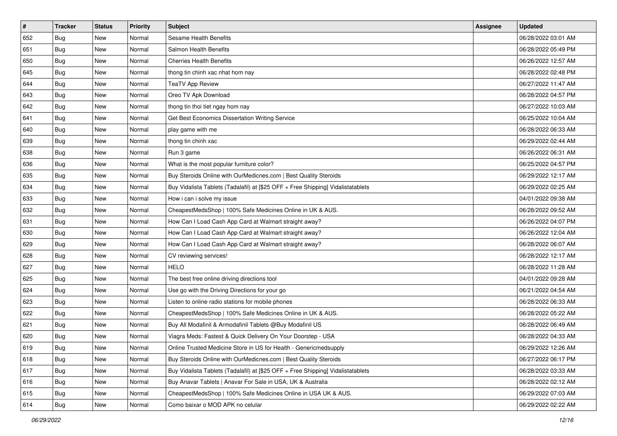| $\sharp$ | <b>Tracker</b> | <b>Status</b> | <b>Priority</b> | <b>Subject</b>                                                                   | <b>Assignee</b> | <b>Updated</b>      |
|----------|----------------|---------------|-----------------|----------------------------------------------------------------------------------|-----------------|---------------------|
| 652      | <b>Bug</b>     | New           | Normal          | <b>Sesame Health Benefits</b>                                                    |                 | 06/28/2022 03:01 AM |
| 651      | Bug            | <b>New</b>    | Normal          | Salmon Health Benefits                                                           |                 | 06/28/2022 05:49 PM |
| 650      | Bug            | New           | Normal          | <b>Cherries Health Benefits</b>                                                  |                 | 06/26/2022 12:57 AM |
| 645      | <b>Bug</b>     | <b>New</b>    | Normal          | thong tin chinh xac nhat hom nay                                                 |                 | 06/28/2022 02:48 PM |
| 644      | Bug            | New           | Normal          | <b>TeaTV App Review</b>                                                          |                 | 06/27/2022 11:47 AM |
| 643      | <b>Bug</b>     | New           | Normal          | Oreo TV Apk Download                                                             |                 | 06/28/2022 04:57 PM |
| 642      | <b>Bug</b>     | <b>New</b>    | Normal          | thong tin thoi tiet ngay hom nay                                                 |                 | 06/27/2022 10:03 AM |
| 641      | <b>Bug</b>     | New           | Normal          | Get Best Economics Dissertation Writing Service                                  |                 | 06/25/2022 10:04 AM |
| 640      | <b>Bug</b>     | New           | Normal          | play game with me                                                                |                 | 06/28/2022 06:33 AM |
| 639      | Bug            | <b>New</b>    | Normal          | thong tin chinh xac                                                              |                 | 06/29/2022 02:44 AM |
| 638      | <b>Bug</b>     | New           | Normal          | Run 3 game                                                                       |                 | 06/26/2022 06:31 AM |
| 636      | Bug            | New           | Normal          | What is the most popular furniture color?                                        |                 | 06/25/2022 04:57 PM |
| 635      | <b>Bug</b>     | New           | Normal          | Buy Steroids Online with OurMedicnes.com   Best Quality Steroids                 |                 | 06/29/2022 12:17 AM |
| 634      | <b>Bug</b>     | New           | Normal          | Buy Vidalista Tablets (Tadalafil) at [\$25 OFF + Free Shipping] Vidalistatablets |                 | 06/29/2022 02:25 AM |
| 633      | <b>Bug</b>     | <b>New</b>    | Normal          | How i can i solve my issue                                                       |                 | 04/01/2022 09:38 AM |
| 632      | <b>Bug</b>     | New           | Normal          | CheapestMedsShop   100% Safe Medicines Online in UK & AUS.                       |                 | 06/28/2022 09:52 AM |
| 631      | <b>Bug</b>     | <b>New</b>    | Normal          | How Can I Load Cash App Card at Walmart straight away?                           |                 | 06/26/2022 04:07 PM |
| 630      | Bug            | <b>New</b>    | Normal          | How Can I Load Cash App Card at Walmart straight away?                           |                 | 06/26/2022 12:04 AM |
| 629      | Bug            | New           | Normal          | How Can I Load Cash App Card at Walmart straight away?                           |                 | 06/28/2022 06:07 AM |
| 628      | Bug            | <b>New</b>    | Normal          | CV reviewing services!                                                           |                 | 06/28/2022 12:17 AM |
| 627      | Bug            | New           | Normal          | <b>HELO</b>                                                                      |                 | 06/28/2022 11:28 AM |
| 625      | Bug            | New           | Normal          | The best free online driving directions tool                                     |                 | 04/01/2022 09:28 AM |
| 624      | Bug            | <b>New</b>    | Normal          | Use go with the Driving Directions for your go                                   |                 | 06/21/2022 04:54 AM |
| 623      | Bug            | New           | Normal          | Listen to online radio stations for mobile phones                                |                 | 06/28/2022 06:33 AM |
| 622      | Bug            | New           | Normal          | CheapestMedsShop   100% Safe Medicines Online in UK & AUS.                       |                 | 06/28/2022 05:22 AM |
| 621      | <b>Bug</b>     | New           | Normal          | Buy All Modafinil & Armodafinil Tablets @Buy Modafinil US                        |                 | 06/28/2022 06:49 AM |
| 620      | <b>Bug</b>     | New           | Normal          | Viagra Meds: Fastest & Quick Delivery On Your Doorstep - USA                     |                 | 06/28/2022 04:33 AM |
| 619      | <b>Bug</b>     | New           | Normal          | Online Trusted Medicine Store in US for Health - Genericmedsupply                |                 | 06/29/2022 12:26 AM |
| 618      | Bug            | New           | Normal          | Buy Steroids Online with OurMedicnes.com   Best Quality Steroids                 |                 | 06/27/2022 06:17 PM |
| 617      | Bug            | New           | Normal          | Buy Vidalista Tablets (Tadalafil) at [\$25 OFF + Free Shipping] Vidalistatablets |                 | 06/28/2022 03:33 AM |
| 616      | Bug            | New           | Normal          | Buy Anavar Tablets   Anavar For Sale in USA, UK & Australia                      |                 | 06/28/2022 02:12 AM |
| 615      | <b>Bug</b>     | New           | Normal          | CheapestMedsShop   100% Safe Medicines Online in USA UK & AUS.                   |                 | 06/29/2022 07:03 AM |
| 614      | <b>Bug</b>     | New           | Normal          | Como baixar o MOD APK no celular                                                 |                 | 06/29/2022 02:22 AM |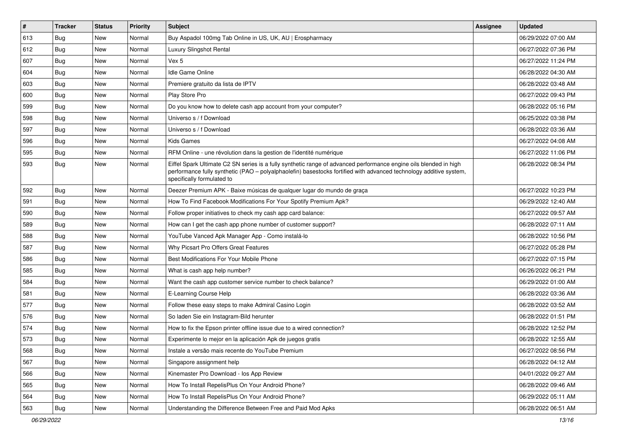| $\vert$ # | <b>Tracker</b> | <b>Status</b> | <b>Priority</b> | <b>Subject</b>                                                                                                                                                                                                                                                        | <b>Assignee</b> | <b>Updated</b>      |
|-----------|----------------|---------------|-----------------|-----------------------------------------------------------------------------------------------------------------------------------------------------------------------------------------------------------------------------------------------------------------------|-----------------|---------------------|
| 613       | <b>Bug</b>     | New           | Normal          | Buy Aspadol 100mg Tab Online in US, UK, AU   Erospharmacy                                                                                                                                                                                                             |                 | 06/29/2022 07:00 AM |
| 612       | Bug            | <b>New</b>    | Normal          | Luxury Slingshot Rental                                                                                                                                                                                                                                               |                 | 06/27/2022 07:36 PM |
| 607       | Bug            | <b>New</b>    | Normal          | Vex 5                                                                                                                                                                                                                                                                 |                 | 06/27/2022 11:24 PM |
| 604       | <b>Bug</b>     | <b>New</b>    | Normal          | Idle Game Online                                                                                                                                                                                                                                                      |                 | 06/28/2022 04:30 AM |
| 603       | Bug            | <b>New</b>    | Normal          | Premiere gratuito da lista de IPTV                                                                                                                                                                                                                                    |                 | 06/28/2022 03:48 AM |
| 600       | <b>Bug</b>     | <b>New</b>    | Normal          | Play Store Pro                                                                                                                                                                                                                                                        |                 | 06/27/2022 09:43 PM |
| 599       | Bug            | <b>New</b>    | Normal          | Do you know how to delete cash app account from your computer?                                                                                                                                                                                                        |                 | 06/28/2022 05:16 PM |
| 598       | <b>Bug</b>     | <b>New</b>    | Normal          | Universo s / f Download                                                                                                                                                                                                                                               |                 | 06/25/2022 03:38 PM |
| 597       | Bug            | <b>New</b>    | Normal          | Universo s / f Download                                                                                                                                                                                                                                               |                 | 06/28/2022 03:36 AM |
| 596       | Bug            | <b>New</b>    | Normal          | <b>Kids Games</b>                                                                                                                                                                                                                                                     |                 | 06/27/2022 04:08 AM |
| 595       | Bug            | <b>New</b>    | Normal          | RFM Online - une révolution dans la gestion de l'identité numérique                                                                                                                                                                                                   |                 | 06/27/2022 11:06 PM |
| 593       | Bug            | New           | Normal          | Eiffel Spark Ultimate C2 SN series is a fully synthetic range of advanced performance engine oils blended in high<br>performance fully synthetic (PAO - polyalphaolefin) basestocks fortified with advanced technology additive system,<br>specifically formulated to |                 | 06/28/2022 08:34 PM |
| 592       | Bug            | <b>New</b>    | Normal          | Deezer Premium APK - Baixe músicas de qualquer lugar do mundo de graça                                                                                                                                                                                                |                 | 06/27/2022 10:23 PM |
| 591       | Bug            | <b>New</b>    | Normal          | How To Find Facebook Modifications For Your Spotify Premium Apk?                                                                                                                                                                                                      |                 | 06/29/2022 12:40 AM |
| 590       | <b>Bug</b>     | <b>New</b>    | Normal          | Follow proper initiatives to check my cash app card balance:                                                                                                                                                                                                          |                 | 06/27/2022 09:57 AM |
| 589       | Bug            | <b>New</b>    | Normal          | How can I get the cash app phone number of customer support?                                                                                                                                                                                                          |                 | 06/28/2022 07:11 AM |
| 588       | Bug            | <b>New</b>    | Normal          | YouTube Vanced Apk Manager App - Como instalá-lo                                                                                                                                                                                                                      |                 | 06/28/2022 10:56 PM |
| 587       | Bug            | <b>New</b>    | Normal          | Why Picsart Pro Offers Great Features                                                                                                                                                                                                                                 |                 | 06/27/2022 05:28 PM |
| 586       | Bug            | <b>New</b>    | Normal          | Best Modifications For Your Mobile Phone                                                                                                                                                                                                                              |                 | 06/27/2022 07:15 PM |
| 585       | Bug            | <b>New</b>    | Normal          | What is cash app help number?                                                                                                                                                                                                                                         |                 | 06/26/2022 06:21 PM |
| 584       | <b>Bug</b>     | <b>New</b>    | Normal          | Want the cash app customer service number to check balance?                                                                                                                                                                                                           |                 | 06/29/2022 01:00 AM |
| 581       | Bug            | <b>New</b>    | Normal          | E-Learning Course Help                                                                                                                                                                                                                                                |                 | 06/28/2022 03:36 AM |
| 577       | <b>Bug</b>     | <b>New</b>    | Normal          | Follow these easy steps to make Admiral Casino Login                                                                                                                                                                                                                  |                 | 06/28/2022 03:52 AM |
| 576       | Bug            | <b>New</b>    | Normal          | So laden Sie ein Instagram-Bild herunter                                                                                                                                                                                                                              |                 | 06/28/2022 01:51 PM |
| 574       | <b>Bug</b>     | New           | Normal          | How to fix the Epson printer offline issue due to a wired connection?                                                                                                                                                                                                 |                 | 06/28/2022 12:52 PM |
| 573       | Bug            | <b>New</b>    | Normal          | Experimente lo mejor en la aplicación Apk de juegos gratis                                                                                                                                                                                                            |                 | 06/28/2022 12:55 AM |
| 568       | Bug            | New           | Normal          | Instale a versão mais recente do YouTube Premium                                                                                                                                                                                                                      |                 | 06/27/2022 08:56 PM |
| 567       | Bug            | New           | Normal          | Singapore assignment help                                                                                                                                                                                                                                             |                 | 06/28/2022 04:12 AM |
| 566       | Bug            | <b>New</b>    | Normal          | Kinemaster Pro Download - los App Review                                                                                                                                                                                                                              |                 | 04/01/2022 09:27 AM |
| 565       | <b>Bug</b>     | New           | Normal          | How To Install RepelisPlus On Your Android Phone?                                                                                                                                                                                                                     |                 | 06/28/2022 09:46 AM |
| 564       | Bug            | New           | Normal          | How To Install RepelisPlus On Your Android Phone?                                                                                                                                                                                                                     |                 | 06/29/2022 05:11 AM |
| 563       | <b>Bug</b>     | New           | Normal          | Understanding the Difference Between Free and Paid Mod Apks                                                                                                                                                                                                           |                 | 06/28/2022 06:51 AM |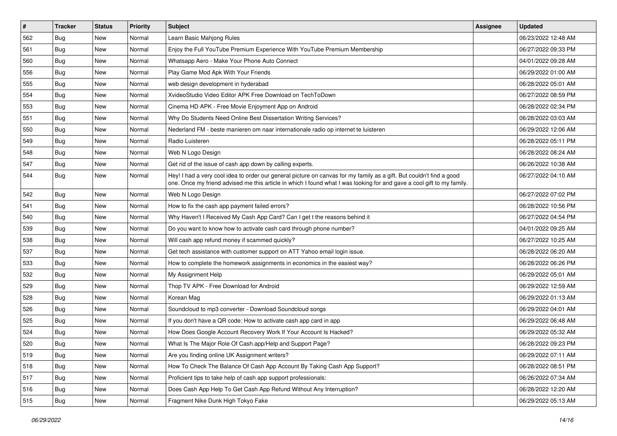| $\vert$ # | <b>Tracker</b> | <b>Status</b> | <b>Priority</b> | <b>Subject</b>                                                                                                                                                                                                                                 | <b>Assignee</b> | <b>Updated</b>      |
|-----------|----------------|---------------|-----------------|------------------------------------------------------------------------------------------------------------------------------------------------------------------------------------------------------------------------------------------------|-----------------|---------------------|
| 562       | <b>Bug</b>     | New           | Normal          | Learn Basic Mahjong Rules                                                                                                                                                                                                                      |                 | 06/23/2022 12:48 AM |
| 561       | Bug            | New           | Normal          | Enjoy the Full YouTube Premium Experience With YouTube Premium Membership                                                                                                                                                                      |                 | 06/27/2022 09:33 PM |
| 560       | Bug            | New           | Normal          | Whatsapp Aero - Make Your Phone Auto Connect                                                                                                                                                                                                   |                 | 04/01/2022 09:28 AM |
| 556       | <b>Bug</b>     | <b>New</b>    | Normal          | Play Game Mod Apk With Your Friends                                                                                                                                                                                                            |                 | 06/29/2022 01:00 AM |
| 555       | Bug            | New           | Normal          | web design development in hyderabad                                                                                                                                                                                                            |                 | 06/28/2022 05:01 AM |
| 554       | Bug            | <b>New</b>    | Normal          | XvideoStudio Video Editor APK Free Download on TechToDown                                                                                                                                                                                      |                 | 06/27/2022 08:59 PM |
| 553       | Bug            | New           | Normal          | Cinema HD APK - Free Movie Enjoyment App on Android                                                                                                                                                                                            |                 | 06/28/2022 02:34 PM |
| 551       | Bug            | New           | Normal          | Why Do Students Need Online Best Dissertation Writing Services?                                                                                                                                                                                |                 | 06/28/2022 03:03 AM |
| 550       | Bug            | New           | Normal          | Nederland FM - beste manieren om naar internationale radio op internet te luisteren                                                                                                                                                            |                 | 06/29/2022 12:06 AM |
| 549       | Bug            | New           | Normal          | Radio Luisteren                                                                                                                                                                                                                                |                 | 06/28/2022 05:11 PM |
| 548       | Bug            | New           | Normal          | Web N Logo Design                                                                                                                                                                                                                              |                 | 06/28/2022 08:24 AM |
| 547       | Bug            | New           | Normal          | Get rid of the issue of cash app down by calling experts.                                                                                                                                                                                      |                 | 06/26/2022 10:38 AM |
| 544       | Bug            | <b>New</b>    | Normal          | Hey! I had a very cool idea to order our general picture on canvas for my family as a gift. But couldn't find a good<br>one. Once my friend advised me this article in which I found what I was looking for and gave a cool gift to my family. |                 | 06/27/2022 04:10 AM |
| 542       | Bug            | New           | Normal          | Web N Logo Design                                                                                                                                                                                                                              |                 | 06/27/2022 07:02 PM |
| 541       | <b>Bug</b>     | New           | Normal          | How to fix the cash app payment failed errors?                                                                                                                                                                                                 |                 | 06/28/2022 10:56 PM |
| 540       | Bug            | <b>New</b>    | Normal          | Why Haven't I Received My Cash App Card? Can I get t the reasons behind it                                                                                                                                                                     |                 | 06/27/2022 04:54 PM |
| 539       | Bug            | New           | Normal          | Do you want to know how to activate cash card through phone number?                                                                                                                                                                            |                 | 04/01/2022 09:25 AM |
| 538       | <b>Bug</b>     | <b>New</b>    | Normal          | Will cash app refund money if scammed quickly?                                                                                                                                                                                                 |                 | 06/27/2022 10:25 AM |
| 537       | Bug            | New           | Normal          | Get tech assistance with customer support on ATT Yahoo email login issue.                                                                                                                                                                      |                 | 06/28/2022 06:20 AM |
| 533       | Bug            | <b>New</b>    | Normal          | How to complete the homework assignments in economics in the easiest way?                                                                                                                                                                      |                 | 06/28/2022 06:26 PM |
| 532       | Bug            | New           | Normal          | My Assignment Help                                                                                                                                                                                                                             |                 | 06/29/2022 05:01 AM |
| 529       | Bug            | New           | Normal          | Thop TV APK - Free Download for Android                                                                                                                                                                                                        |                 | 06/29/2022 12:59 AM |
| 528       | Bug            | New           | Normal          | Korean Mag                                                                                                                                                                                                                                     |                 | 06/29/2022 01:13 AM |
| 526       | Bug            | New           | Normal          | Soundcloud to mp3 converter - Download Soundcloud songs                                                                                                                                                                                        |                 | 06/29/2022 04:01 AM |
| 525       | Bug            | New           | Normal          | If you don't have a QR code: How to activate cash app card in app                                                                                                                                                                              |                 | 06/29/2022 06:48 AM |
| 524       | Bug            | New           | Normal          | How Does Google Account Recovery Work If Your Account Is Hacked?                                                                                                                                                                               |                 | 06/29/2022 05:32 AM |
| 520       | <b>Bug</b>     | <b>New</b>    | Normal          | What Is The Major Role Of Cash.app/Help and Support Page?                                                                                                                                                                                      |                 | 06/28/2022 09:23 PM |
| 519       | Bug            | New           | Normal          | Are you finding online UK Assignment writers?                                                                                                                                                                                                  |                 | 06/29/2022 07:11 AM |
| 518       | <b>Bug</b>     | New           | Normal          | How To Check The Balance Of Cash App Account By Taking Cash App Support?                                                                                                                                                                       |                 | 06/28/2022 08:51 PM |
| 517       | Bug            | New           | Normal          | Proficient tips to take help of cash app support professionals:                                                                                                                                                                                |                 | 06/26/2022 07:34 AM |
| 516       | Bug            | New           | Normal          | Does Cash App Help To Get Cash App Refund Without Any Interruption?                                                                                                                                                                            |                 | 06/28/2022 12:20 AM |
| 515       | Bug            | New           | Normal          | Fragment Nike Dunk High Tokyo Fake                                                                                                                                                                                                             |                 | 06/29/2022 05:13 AM |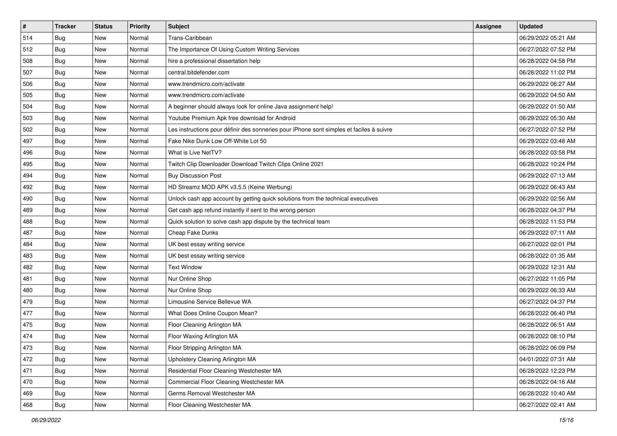| $\vert$ # | <b>Tracker</b> | <b>Status</b> | <b>Priority</b> | <b>Subject</b>                                                                           | <b>Assignee</b> | <b>Updated</b>      |
|-----------|----------------|---------------|-----------------|------------------------------------------------------------------------------------------|-----------------|---------------------|
| 514       | <b>Bug</b>     | New           | Normal          | Trans-Caribbean                                                                          |                 | 06/29/2022 05:21 AM |
| 512       | Bug            | New           | Normal          | The Importance Of Using Custom Writing Services                                          |                 | 06/27/2022 07:52 PM |
| 508       | <b>Bug</b>     | New           | Normal          | hire a professional dissertation help                                                    |                 | 06/28/2022 04:58 PM |
| 507       | Bug            | New           | Normal          | central.bitdefender.com                                                                  |                 | 06/28/2022 11:02 PM |
| 506       | Bug            | <b>New</b>    | Normal          | www.trendmicro.com/activate                                                              |                 | 06/29/2022 06:27 AM |
| 505       | <b>Bug</b>     | New           | Normal          | www.trendmicro.com/activate                                                              |                 | 06/29/2022 04:50 AM |
| 504       | Bug            | New           | Normal          | A beginner should always look for online Java assignment help!                           |                 | 06/29/2022 01:50 AM |
| 503       | Bug            | New           | Normal          | Youtube Premium Apk free download for Android                                            |                 | 06/29/2022 05:30 AM |
| 502       | Bug            | New           | Normal          | Les instructions pour définir des sonneries pour iPhone sont simples et faciles à suivre |                 | 06/27/2022 07:52 PM |
| 497       | Bug            | New           | Normal          | Fake Nike Dunk Low Off-White Lot 50                                                      |                 | 06/29/2022 03:48 AM |
| 496       | Bug            | New           | Normal          | What is Live NetTV?                                                                      |                 | 06/28/2022 03:58 PM |
| 495       | <b>Bug</b>     | New           | Normal          | Twitch Clip Downloader Download Twitch Clips Online 2021                                 |                 | 06/28/2022 10:24 PM |
| 494       | Bug            | New           | Normal          | <b>Buy Discussion Post</b>                                                               |                 | 06/29/2022 07:13 AM |
| 492       | Bug            | New           | Normal          | HD Streamz MOD APK v3.5.5 (Keine Werbung)                                                |                 | 06/29/2022 06:43 AM |
| 490       | Bug            | New           | Normal          | Unlock cash app account by getting quick solutions from the technical executives         |                 | 06/29/2022 02:56 AM |
| 489       | <b>Bug</b>     | New           | Normal          | Get cash app refund instantly if sent to the wrong person                                |                 | 06/28/2022 04:37 PM |
| 488       | <b>Bug</b>     | New           | Normal          | Quick solution to solve cash app dispute by the technical team                           |                 | 06/28/2022 11:53 PM |
| 487       | Bug            | New           | Normal          | Cheap Fake Dunks                                                                         |                 | 06/29/2022 07:11 AM |
| 484       | <b>Bug</b>     | New           | Normal          | UK best essay writing service                                                            |                 | 06/27/2022 02:01 PM |
| 483       | Bug            | New           | Normal          | UK best essay writing service                                                            |                 | 06/28/2022 01:35 AM |
| 482       | Bug            | New           | Normal          | <b>Text Window</b>                                                                       |                 | 06/29/2022 12:31 AM |
| 481       | <b>Bug</b>     | New           | Normal          | Nur Online Shop                                                                          |                 | 06/27/2022 11:05 PM |
| 480       | Bug            | New           | Normal          | Nur Online Shop                                                                          |                 | 06/29/2022 06:33 AM |
| 479       | Bug            | New           | Normal          | Limousine Service Bellevue WA                                                            |                 | 06/27/2022 04:37 PM |
| 477       | Bug            | New           | Normal          | What Does Online Coupon Mean?                                                            |                 | 06/28/2022 06:40 PM |
| 475       | <b>Bug</b>     | New           | Normal          | Floor Cleaning Arlington MA                                                              |                 | 06/28/2022 06:51 AM |
| 474       | Bug            | New           | Normal          | Floor Waxing Arlington MA                                                                |                 | 06/28/2022 08:10 PM |
| 473       | <b>Bug</b>     | New           | Normal          | Floor Stripping Arlington MA                                                             |                 | 06/28/2022 06:09 PM |
| 472       | Bug            | New           | Normal          | Upholstery Cleaning Arlington MA                                                         |                 | 04/01/2022 07:31 AM |
| 471       | Bug            | New           | Normal          | Residential Floor Cleaning Westchester MA                                                |                 | 06/28/2022 12:23 PM |
| 470       | Bug            | New           | Normal          | Commercial Floor Cleaning Westchester MA                                                 |                 | 06/28/2022 04:16 AM |
| 469       | <b>Bug</b>     | New           | Normal          | Germs Removal Westchester MA                                                             |                 | 06/28/2022 10:40 AM |
| 468       | <b>Bug</b>     | New           | Normal          | Floor Cleaning Westchester MA                                                            |                 | 06/27/2022 02:41 AM |